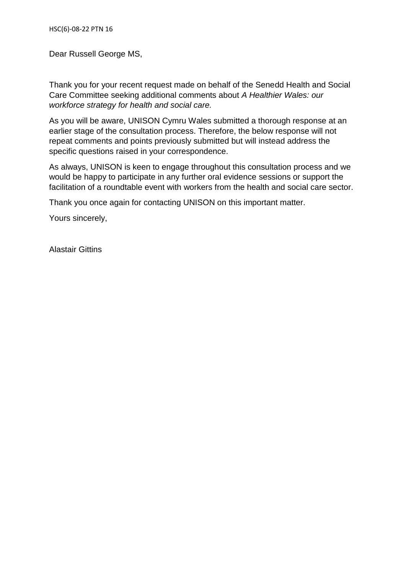Dear Russell George MS,

Thank you for your recent request made on behalf of the Senedd Health and Social Care Committee seeking additional comments about *A Healthier Wales: our workforce strategy for health and social care.* 

As you will be aware, UNISON Cymru Wales submitted a thorough response at an earlier stage of the consultation process. Therefore, the below response will not repeat comments and points previously submitted but will instead address the specific questions raised in your correspondence.

As always, UNISON is keen to engage throughout this consultation process and we would be happy to participate in any further oral evidence sessions or support the facilitation of a roundtable event with workers from the health and social care sector.

Thank you once again for contacting UNISON on this important matter.

Yours sincerely,

Alastair Gittins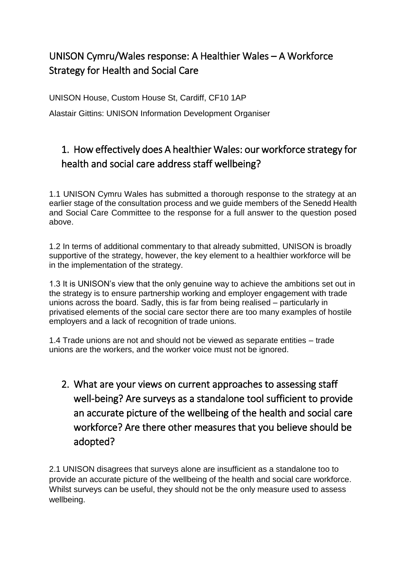## UNISON Cymru/Wales response: A Healthier Wales – A Workforce Strategy for Health and Social Care

UNISON House, Custom House St, Cardiff, CF10 1AP

Alastair Gittins: UNISON Information Development Organiser

## 1. How effectively does A healthier Wales: our workforce strategy for health and social care address staff wellbeing?

1.1 UNISON Cymru Wales has submitted a thorough response to the strategy at an earlier stage of the consultation process and we guide members of the Senedd Health and Social Care Committee to the response for a full answer to the question posed above.

1.2 In terms of additional commentary to that already submitted, UNISON is broadly supportive of the strategy, however, the key element to a healthier workforce will be in the implementation of the strategy.

1.3 It is UNISON's view that the only genuine way to achieve the ambitions set out in the strategy is to ensure partnership working and employer engagement with trade unions across the board. Sadly, this is far from being realised – particularly in privatised elements of the social care sector there are too many examples of hostile employers and a lack of recognition of trade unions.

1.4 Trade unions are not and should not be viewed as separate entities – trade unions are the workers, and the worker voice must not be ignored.

2. What are your views on current approaches to assessing staff well-being? Are surveys as a standalone tool sufficient to provide an accurate picture of the wellbeing of the health and social care workforce? Are there other measures that you believe should be adopted?

2.1 UNISON disagrees that surveys alone are insufficient as a standalone too to provide an accurate picture of the wellbeing of the health and social care workforce. Whilst surveys can be useful, they should not be the only measure used to assess wellbeing.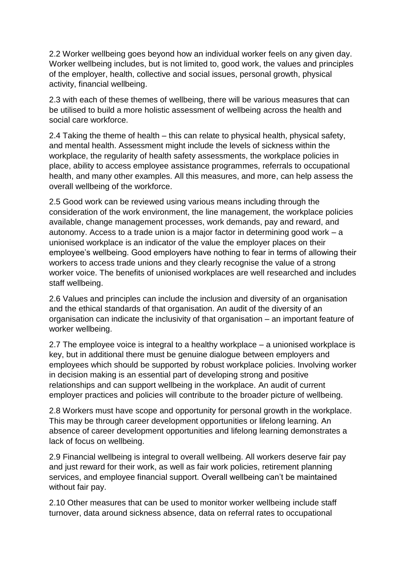2.2 Worker wellbeing goes beyond how an individual worker feels on any given day. Worker wellbeing includes, but is not limited to, good work, the values and principles of the employer, health, collective and social issues, personal growth, physical activity, financial wellbeing.

2.3 with each of these themes of wellbeing, there will be various measures that can be utilised to build a more holistic assessment of wellbeing across the health and social care workforce.

2.4 Taking the theme of health – this can relate to physical health, physical safety, and mental health. Assessment might include the levels of sickness within the workplace, the regularity of health safety assessments, the workplace policies in place, ability to access employee assistance programmes, referrals to occupational health, and many other examples. All this measures, and more, can help assess the overall wellbeing of the workforce.

2.5 Good work can be reviewed using various means including through the consideration of the work environment, the line management, the workplace policies available, change management processes, work demands, pay and reward, and autonomy. Access to a trade union is a major factor in determining good work – a unionised workplace is an indicator of the value the employer places on their employee's wellbeing. Good employers have nothing to fear in terms of allowing their workers to access trade unions and they clearly recognise the value of a strong worker voice. The benefits of unionised workplaces are well researched and includes staff wellbeing.

2.6 Values and principles can include the inclusion and diversity of an organisation and the ethical standards of that organisation. An audit of the diversity of an organisation can indicate the inclusivity of that organisation – an important feature of worker wellbeing.

2.7 The employee voice is integral to a healthy workplace – a unionised workplace is key, but in additional there must be genuine dialogue between employers and employees which should be supported by robust workplace policies. Involving worker in decision making is an essential part of developing strong and positive relationships and can support wellbeing in the workplace. An audit of current employer practices and policies will contribute to the broader picture of wellbeing.

2.8 Workers must have scope and opportunity for personal growth in the workplace. This may be through career development opportunities or lifelong learning. An absence of career development opportunities and lifelong learning demonstrates a lack of focus on wellbeing.

2.9 Financial wellbeing is integral to overall wellbeing. All workers deserve fair pay and just reward for their work, as well as fair work policies, retirement planning services, and employee financial support. Overall wellbeing can't be maintained without fair pay.

2.10 Other measures that can be used to monitor worker wellbeing include staff turnover, data around sickness absence, data on referral rates to occupational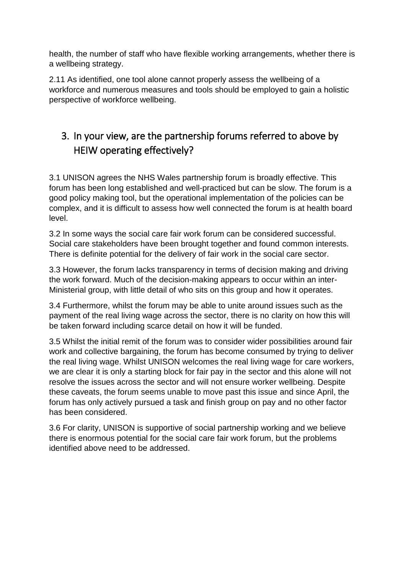health, the number of staff who have flexible working arrangements, whether there is a wellbeing strategy.

2.11 As identified, one tool alone cannot properly assess the wellbeing of a workforce and numerous measures and tools should be employed to gain a holistic perspective of workforce wellbeing.

## 3. In your view, are the partnership forums referred to above by HEIW operating effectively?

3.1 UNISON agrees the NHS Wales partnership forum is broadly effective. This forum has been long established and well-practiced but can be slow. The forum is a good policy making tool, but the operational implementation of the policies can be complex, and it is difficult to assess how well connected the forum is at health board level.

3.2 In some ways the social care fair work forum can be considered successful. Social care stakeholders have been brought together and found common interests. There is definite potential for the delivery of fair work in the social care sector.

3.3 However, the forum lacks transparency in terms of decision making and driving the work forward. Much of the decision-making appears to occur within an inter-Ministerial group, with little detail of who sits on this group and how it operates.

3.4 Furthermore, whilst the forum may be able to unite around issues such as the payment of the real living wage across the sector, there is no clarity on how this will be taken forward including scarce detail on how it will be funded.

3.5 Whilst the initial remit of the forum was to consider wider possibilities around fair work and collective bargaining, the forum has become consumed by trying to deliver the real living wage. Whilst UNISON welcomes the real living wage for care workers, we are clear it is only a starting block for fair pay in the sector and this alone will not resolve the issues across the sector and will not ensure worker wellbeing. Despite these caveats, the forum seems unable to move past this issue and since April, the forum has only actively pursued a task and finish group on pay and no other factor has been considered.

3.6 For clarity, UNISON is supportive of social partnership working and we believe there is enormous potential for the social care fair work forum, but the problems identified above need to be addressed.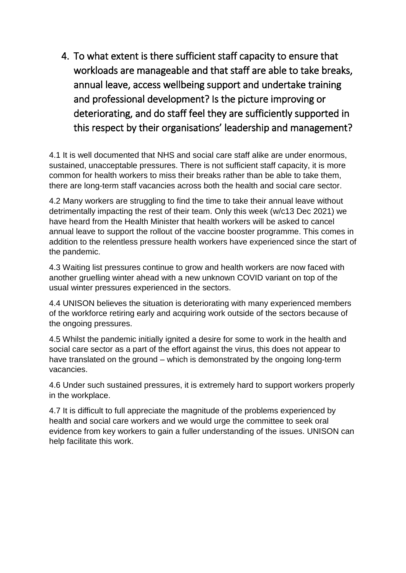4. To what extent is there sufficient staff capacity to ensure that workloads are manageable and that staff are able to take breaks, annual leave, access wellbeing support and undertake training and professional development? Is the picture improving or deteriorating, and do staff feel they are sufficiently supported in this respect by their organisations' leadership and management?

4.1 It is well documented that NHS and social care staff alike are under enormous, sustained, unacceptable pressures. There is not sufficient staff capacity, it is more common for health workers to miss their breaks rather than be able to take them, there are long-term staff vacancies across both the health and social care sector.

4.2 Many workers are struggling to find the time to take their annual leave without detrimentally impacting the rest of their team. Only this week (w/c13 Dec 2021) we have heard from the Health Minister that health workers will be asked to cancel annual leave to support the rollout of the vaccine booster programme. This comes in addition to the relentless pressure health workers have experienced since the start of the pandemic.

4.3 Waiting list pressures continue to grow and health workers are now faced with another gruelling winter ahead with a new unknown COVID variant on top of the usual winter pressures experienced in the sectors.

4.4 UNISON believes the situation is deteriorating with many experienced members of the workforce retiring early and acquiring work outside of the sectors because of the ongoing pressures.

4.5 Whilst the pandemic initially ignited a desire for some to work in the health and social care sector as a part of the effort against the virus, this does not appear to have translated on the ground – which is demonstrated by the ongoing long-term vacancies.

4.6 Under such sustained pressures, it is extremely hard to support workers properly in the workplace.

4.7 It is difficult to full appreciate the magnitude of the problems experienced by health and social care workers and we would urge the committee to seek oral evidence from key workers to gain a fuller understanding of the issues. UNISON can help facilitate this work.